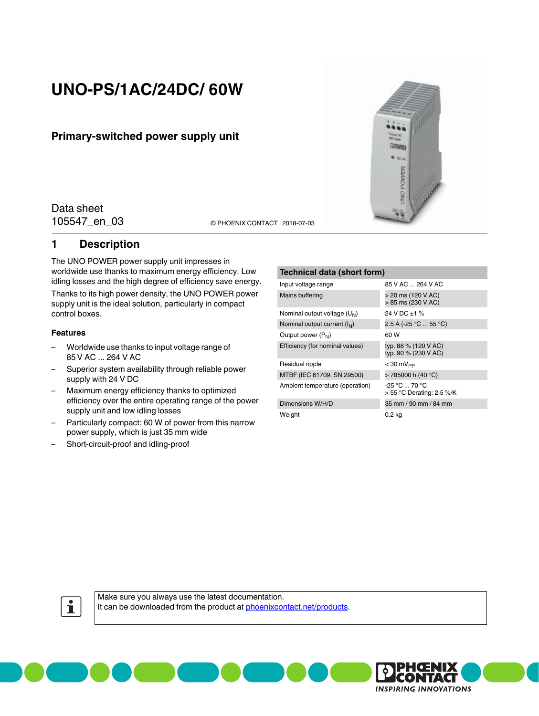# **UNO-PS/1AC/24DC/ 60W**

## **Primary-switched power supply unit**

Data sheet

105547\_en\_03 <sup>©</sup> PHOENIX CONTACT 2018-07-03

### <span id="page-0-0"></span>**1 Description**

The UNO POWER power supply unit impresses in worldwide use thanks to maximum energy efficiency. Low idling losses and the high degree of efficiency save energy. Thanks to its high power density, the UNO POWER power supply unit is the ideal solution, particularly in compact control boxes.

#### **Features**

- Worldwide use thanks to input voltage range of 85 V AC ... 264 V AC
- Superior system availability through reliable power supply with 24 V DC
- Maximum energy efficiency thanks to optimized efficiency over the entire operating range of the power supply unit and low idling losses
- Particularly compact: 60 W of power from this narrow power supply, which is just 35 mm wide
- Short-circuit-proof and idling-proof

#### **Technical data (short form)**

| 85 V AC  264 V AC                               |
|-------------------------------------------------|
| > 20 ms (120 V AC)<br>> 85 ms (230 V AC)        |
| 24 V DC ±1 %                                    |
| 2.5 A (-25 °C  55 °C)                           |
| 60 W                                            |
| typ. 88 % (120 V AC)<br>typ. 90 % (230 V AC)    |
| $<$ 30 mV <sub>pp</sub>                         |
| > 785000 h (40 °C)                              |
| $-25 °C = 70 °C$<br>$> 55$ °C Derating: 2.5 %/K |
| 35 mm / 90 mm / 84 mm                           |
| 0.2 kg                                          |
|                                                 |

**UNO POWER** 



Make sure you always use the latest documentation. It can be downloaded from the product at [phoenixcontact.net/products](http://phoenixcontact.net/products).

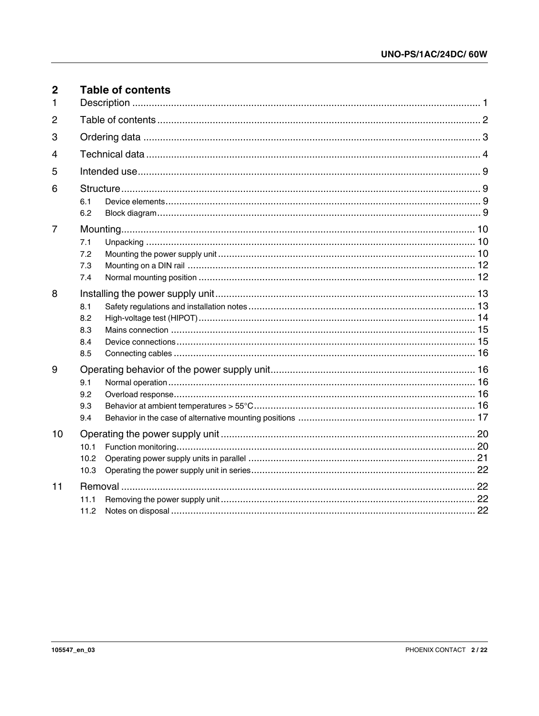<span id="page-1-0"></span>

| $\overline{2}$<br>1 | <b>Table of contents</b>        |  |
|---------------------|---------------------------------|--|
| $\overline{2}$      |                                 |  |
| 3                   |                                 |  |
| 4                   |                                 |  |
| 5                   |                                 |  |
| 6                   | 6.1<br>6.2                      |  |
| $\overline{7}$      | 7.1<br>7.2<br>7.3<br>7.4        |  |
| 8                   | 8.1<br>8.2<br>8.3<br>8.4<br>8.5 |  |
| 9                   | 9.1<br>9.2<br>9.3<br>9.4        |  |
| 10                  | 10.1<br>10.2<br>10.3            |  |
| 11                  | 11.1<br>11.2                    |  |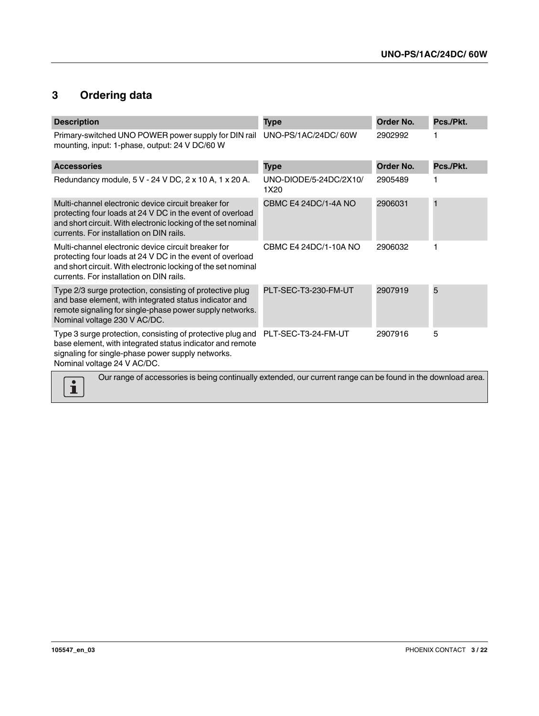## <span id="page-2-0"></span>**3 Ordering data**

| <b>Description</b>                                                                                                                                                                                                            | <b>Type</b>                    | Order No. | Pcs./Pkt. |
|-------------------------------------------------------------------------------------------------------------------------------------------------------------------------------------------------------------------------------|--------------------------------|-----------|-----------|
| Primary-switched UNO POWER power supply for DIN rail<br>mounting, input: 1-phase, output: 24 V DC/60 W                                                                                                                        | UNO-PS/1AC/24DC/60W            | 2902992   |           |
| <b>Accessories</b>                                                                                                                                                                                                            | <b>Type</b>                    | Order No. | Pcs./Pkt. |
| Redundancy module, 5 V - 24 V DC, 2 x 10 A, 1 x 20 A.                                                                                                                                                                         | UNO-DIODE/5-24DC/2X10/<br>1X20 | 2905489   |           |
| Multi-channel electronic device circuit breaker for<br>protecting four loads at 24 V DC in the event of overload<br>and short circuit. With electronic locking of the set nominal<br>currents. For installation on DIN rails. | CBMC E4 24DC/1-4A NO           | 2906031   | п         |
| Multi-channel electronic device circuit breaker for<br>protecting four loads at 24 V DC in the event of overload<br>and short circuit. With electronic locking of the set nominal<br>currents. For installation on DIN rails. | CBMC E4 24DC/1-10A NO          | 2906032   |           |
| Type 2/3 surge protection, consisting of protective plug<br>and base element, with integrated status indicator and<br>remote signaling for single-phase power supply networks.<br>Nominal voltage 230 V AC/DC.                | PLT-SEC-T3-230-FM-UT           | 2907919   | 5         |
| Type 3 surge protection, consisting of protective plug and<br>base element, with integrated status indicator and remote<br>signaling for single-phase power supply networks.<br>Nominal voltage 24 V AC/DC.                   | PLT-SEC-T3-24-FM-UT            | 2907916   | 5         |
| Our range of accessories is being continually extended, our current range can be found in the download area.                                                                                                                  |                                |           |           |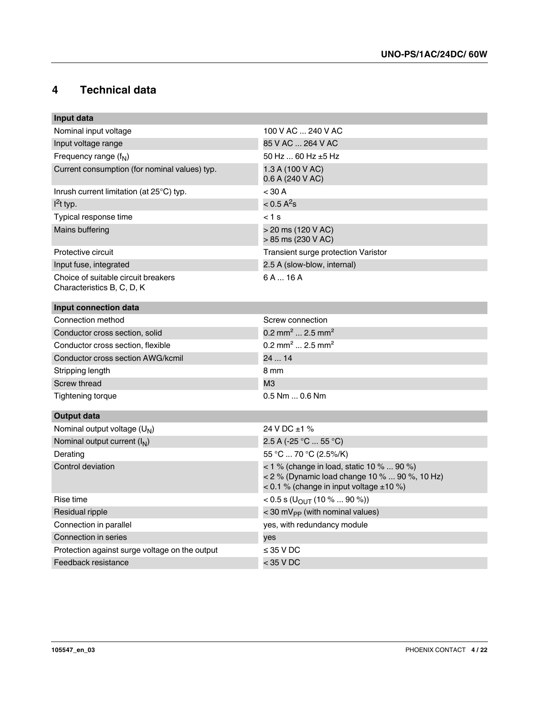## <span id="page-3-0"></span>**4 Technical data**

| Input data                                                        |                                                                                                                                            |
|-------------------------------------------------------------------|--------------------------------------------------------------------------------------------------------------------------------------------|
| Nominal input voltage                                             | 100 V AC  240 V AC                                                                                                                         |
| Input voltage range                                               | 85 V AC  264 V AC                                                                                                                          |
| Frequency range $(fN)$                                            | 50 Hz  60 Hz $\pm$ 5 Hz                                                                                                                    |
| Current consumption (for nominal values) typ.                     | 1.3 A (100 V AC)<br>0.6 A (240 V AC)                                                                                                       |
| Inrush current limitation (at $25^{\circ}$ C) typ.                | < 30 A                                                                                                                                     |
| $l^2$ t typ.                                                      | $< 0.5 A^2$ s                                                                                                                              |
| Typical response time                                             | $< 1$ s                                                                                                                                    |
| Mains buffering                                                   | > 20 ms (120 V AC)<br>> 85 ms (230 V AC)                                                                                                   |
| Protective circuit                                                | Transient surge protection Varistor                                                                                                        |
| Input fuse, integrated                                            | 2.5 A (slow-blow, internal)                                                                                                                |
| Choice of suitable circuit breakers<br>Characteristics B, C, D, K | 6A16A                                                                                                                                      |
| Input connection data                                             |                                                                                                                                            |
| Connection method                                                 | Screw connection                                                                                                                           |
| Conductor cross section, solid                                    | $0.2$ mm <sup>2</sup> 2.5 mm <sup>2</sup>                                                                                                  |
| Conductor cross section, flexible                                 | $0.2$ mm <sup>2</sup> 2.5 mm <sup>2</sup>                                                                                                  |
| Conductor cross section AWG/kcmil                                 | 24  14                                                                                                                                     |
| Stripping length                                                  | 8 mm                                                                                                                                       |
| Screw thread                                                      | M <sub>3</sub>                                                                                                                             |
| Tightening torque                                                 | $0.5$ Nm $$ 0.6 Nm                                                                                                                         |
| <b>Output data</b>                                                |                                                                                                                                            |
| Nominal output voltage (U <sub>N</sub> )                          | 24 V DC $\pm$ 1 %                                                                                                                          |
| Nominal output current $(I_N)$                                    | 2.5 A (-25 °C  55 °C)                                                                                                                      |
| Derating                                                          | 55 °C  70 °C (2.5%/K)                                                                                                                      |
| Control deviation                                                 | < 1 % (change in load, static 10 %  90 %)<br>< 2 % (Dynamic load change 10 %  90 %, 10 Hz)<br>< 0.1 % (change in input voltage $\pm 10$ %) |
| Rise time                                                         | < 0.5 s (U <sub>OUT</sub> (10 %  90 %))                                                                                                    |
| Residual ripple                                                   | $<$ 30 mV <sub>PP</sub> (with nominal values)                                                                                              |
| Connection in parallel                                            | yes, with redundancy module                                                                                                                |
| Connection in series                                              | yes                                                                                                                                        |
| Protection against surge voltage on the output                    | $\leq$ 35 V DC                                                                                                                             |
| Feedback resistance                                               | $<$ 35 V DC                                                                                                                                |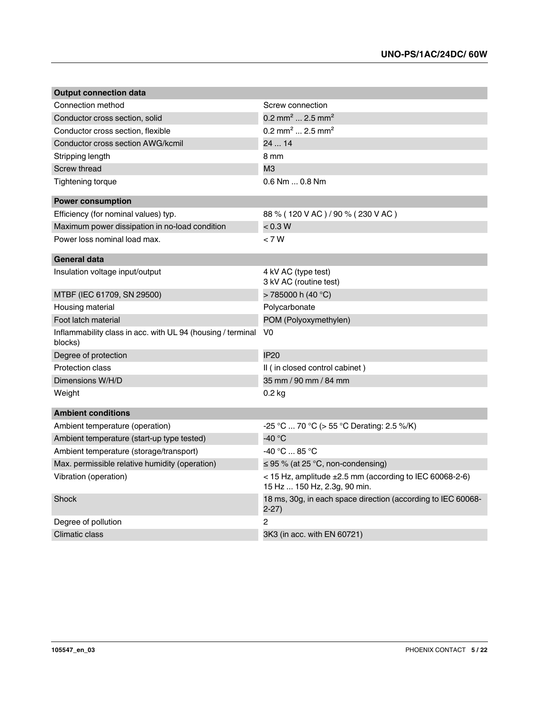| <b>Output connection data</b>                                          |                                                                                              |
|------------------------------------------------------------------------|----------------------------------------------------------------------------------------------|
| Connection method                                                      | Screw connection                                                                             |
| Conductor cross section, solid                                         | 0.2 mm <sup>2</sup> 2.5 mm <sup>2</sup>                                                      |
| Conductor cross section, flexible                                      | 0.2 mm <sup>2</sup> 2.5 mm <sup>2</sup>                                                      |
| Conductor cross section AWG/kcmil                                      | 2414                                                                                         |
| Stripping length                                                       | 8 mm                                                                                         |
| <b>Screw thread</b>                                                    | M <sub>3</sub>                                                                               |
| Tightening torque                                                      | $0.6$ Nm $$ 0.8 Nm                                                                           |
| <b>Power consumption</b>                                               |                                                                                              |
| Efficiency (for nominal values) typ.                                   | 88 % (120 V AC) / 90 % (230 V AC)                                                            |
| Maximum power dissipation in no-load condition                         | < 0.3 W                                                                                      |
| Power loss nominal load max.                                           | < 7 W                                                                                        |
| <b>General data</b>                                                    |                                                                                              |
| Insulation voltage input/output                                        | 4 kV AC (type test)<br>3 kV AC (routine test)                                                |
| MTBF (IEC 61709, SN 29500)                                             | >785000 h (40 °C)                                                                            |
| Housing material                                                       | Polycarbonate                                                                                |
| Foot latch material                                                    | POM (Polyoxymethylen)                                                                        |
| Inflammability class in acc. with UL 94 (housing / terminal<br>blocks) | V <sub>0</sub>                                                                               |
| Degree of protection                                                   | <b>IP20</b>                                                                                  |
| <b>Protection class</b>                                                | II ( in closed control cabinet )                                                             |
| Dimensions W/H/D                                                       | 35 mm / 90 mm / 84 mm                                                                        |
| Weight                                                                 | $0.2$ kg                                                                                     |
| <b>Ambient conditions</b>                                              |                                                                                              |
| Ambient temperature (operation)                                        | -25 °C  70 °C (> 55 °C Derating: 2.5 %/K)                                                    |
| Ambient temperature (start-up type tested)                             | -40 °C                                                                                       |
| Ambient temperature (storage/transport)                                | -40 °C  85 °C                                                                                |
| Max. permissible relative humidity (operation)                         | $\leq$ 95 % (at 25 °C, non-condensing)                                                       |
| Vibration (operation)                                                  | < 15 Hz, amplitude $\pm 2.5$ mm (according to IEC 60068-2-6)<br>15 Hz  150 Hz, 2.3g, 90 min. |
| Shock                                                                  | 18 ms, 30g, in each space direction (according to IEC 60068-<br>$2 - 27$                     |
| Degree of pollution                                                    | 2                                                                                            |
| Climatic class                                                         | 3K3 (in acc. with EN 60721)                                                                  |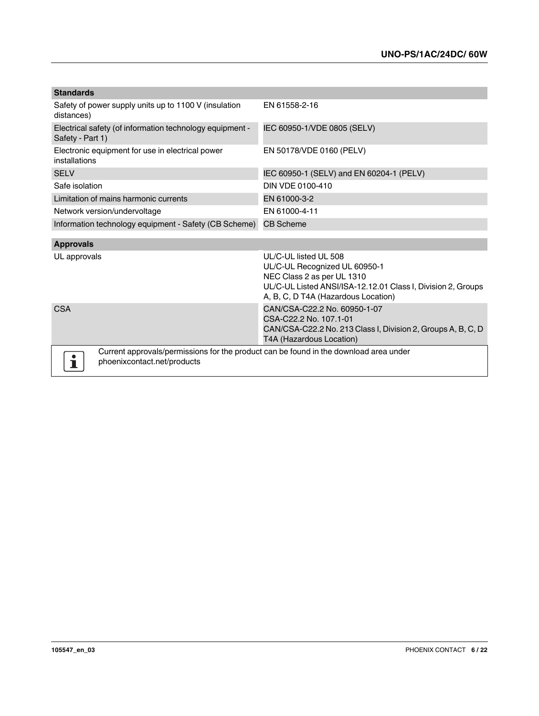| <b>Standards</b>                                                                                                     |                                                                                                                                                                                             |  |  |
|----------------------------------------------------------------------------------------------------------------------|---------------------------------------------------------------------------------------------------------------------------------------------------------------------------------------------|--|--|
| Safety of power supply units up to 1100 V (insulation<br>distances)                                                  | EN 61558-2-16                                                                                                                                                                               |  |  |
| Electrical safety (of information technology equipment -<br>Safety - Part 1)                                         | IEC 60950-1/VDE 0805 (SELV)                                                                                                                                                                 |  |  |
| Electronic equipment for use in electrical power<br>installations                                                    | EN 50178/VDE 0160 (PELV)                                                                                                                                                                    |  |  |
| <b>SELV</b>                                                                                                          | IEC 60950-1 (SELV) and EN 60204-1 (PELV)                                                                                                                                                    |  |  |
| Safe isolation                                                                                                       | DIN VDE 0100-410                                                                                                                                                                            |  |  |
| Limitation of mains harmonic currents                                                                                | EN 61000-3-2                                                                                                                                                                                |  |  |
| Network version/undervoltage                                                                                         | EN 61000-4-11                                                                                                                                                                               |  |  |
| Information technology equipment - Safety (CB Scheme)                                                                | <b>CB Scheme</b>                                                                                                                                                                            |  |  |
| <b>Approvals</b>                                                                                                     |                                                                                                                                                                                             |  |  |
| UL approvals                                                                                                         | UL/C-UL listed UL 508<br>UL/C-UL Recognized UL 60950-1<br>NEC Class 2 as per UL 1310<br>UL/C-UL Listed ANSI/ISA-12.12.01 Class I, Division 2, Groups<br>A, B, C, D T4A (Hazardous Location) |  |  |
| <b>CSA</b>                                                                                                           | CAN/CSA-C22.2 No. 60950-1-07<br>CSA-C22.2 No. 107.1-01<br>CAN/CSA-C22.2 No. 213 Class I, Division 2, Groups A, B, C, D<br>T4A (Hazardous Location)                                          |  |  |
| Current approvals/permissions for the product can be found in the download area under<br>phoenixcontact.net/products |                                                                                                                                                                                             |  |  |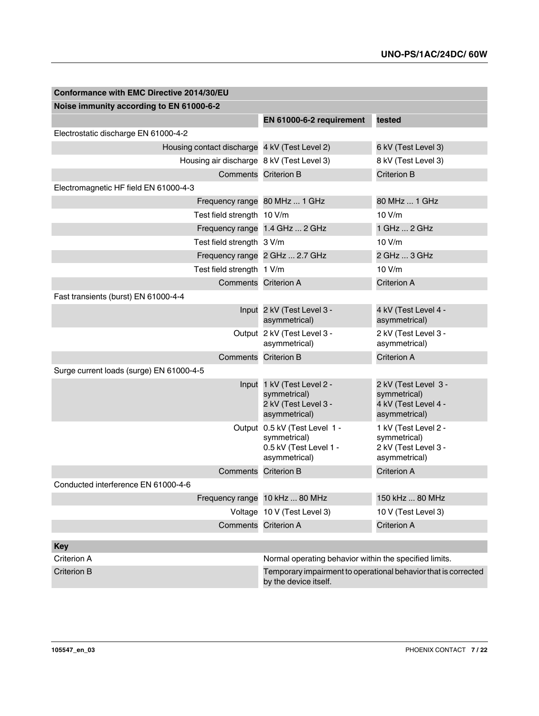| Conformance with EMC Directive 2014/30/EU     |                                                                                          |                                                                               |
|-----------------------------------------------|------------------------------------------------------------------------------------------|-------------------------------------------------------------------------------|
| Noise immunity according to EN 61000-6-2      |                                                                                          |                                                                               |
|                                               | EN 61000-6-2 requirement                                                                 | tested                                                                        |
| Electrostatic discharge EN 61000-4-2          |                                                                                          |                                                                               |
| Housing contact discharge 4 kV (Test Level 2) |                                                                                          | 6 kV (Test Level 3)                                                           |
| Housing air discharge 8 kV (Test Level 3)     |                                                                                          | 8 kV (Test Level 3)                                                           |
|                                               | Comments Criterion B                                                                     | <b>Criterion B</b>                                                            |
| Electromagnetic HF field EN 61000-4-3         |                                                                                          |                                                                               |
|                                               | Frequency range 80 MHz  1 GHz                                                            | 80 MHz  1 GHz                                                                 |
| Test field strength 10 V/m                    |                                                                                          | 10 V/m                                                                        |
|                                               | Frequency range 1.4 GHz  2 GHz                                                           | 1 GHz  2 GHz                                                                  |
| Test field strength 3 V/m                     |                                                                                          | 10 V/m                                                                        |
|                                               | Frequency range 2 GHz  2.7 GHz                                                           | 2 GHz  3 GHz                                                                  |
| Test field strength 1 V/m                     |                                                                                          | 10 V/m                                                                        |
|                                               | Comments Criterion A                                                                     | <b>Criterion A</b>                                                            |
| Fast transients (burst) EN 61000-4-4          |                                                                                          |                                                                               |
|                                               | Input 2 kV (Test Level 3 -<br>asymmetrical)                                              | 4 kV (Test Level 4 -<br>asymmetrical)                                         |
|                                               | Output 2 kV (Test Level 3 -<br>asymmetrical)                                             | 2 kV (Test Level 3 -<br>asymmetrical)                                         |
| Comments                                      | <b>Criterion B</b>                                                                       | <b>Criterion A</b>                                                            |
| Surge current loads (surge) EN 61000-4-5      |                                                                                          |                                                                               |
|                                               | Input 1 kV (Test Level 2 -<br>symmetrical)<br>2 kV (Test Level 3 -<br>asymmetrical)      | 2 kV (Test Level 3 -<br>symmetrical)<br>4 kV (Test Level 4 -<br>asymmetrical) |
|                                               | Output 0.5 kV (Test Level 1 -<br>symmetrical)<br>0.5 kV (Test Level 1 -<br>asymmetrical) | 1 kV (Test Level 2 -<br>symmetrical)<br>2 kV (Test Level 3 -<br>asymmetrical) |
| Comments                                      | <b>Criterion B</b>                                                                       | <b>Criterion A</b>                                                            |
| Conducted interference EN 61000-4-6           |                                                                                          |                                                                               |
|                                               | Frequency range 10 kHz  80 MHz                                                           | 150 kHz  80 MHz                                                               |
|                                               | Voltage 10 V (Test Level 3)                                                              | 10 V (Test Level 3)                                                           |
|                                               | Comments Criterion A                                                                     | <b>Criterion A</b>                                                            |
| <b>Key</b>                                    |                                                                                          |                                                                               |
| Criterion A                                   | Normal operating behavior within the specified limits.                                   |                                                                               |
| <b>Criterion B</b>                            |                                                                                          | Temporary impairment to operational behavior that is corrected                |
|                                               | by the device itself.                                                                    |                                                                               |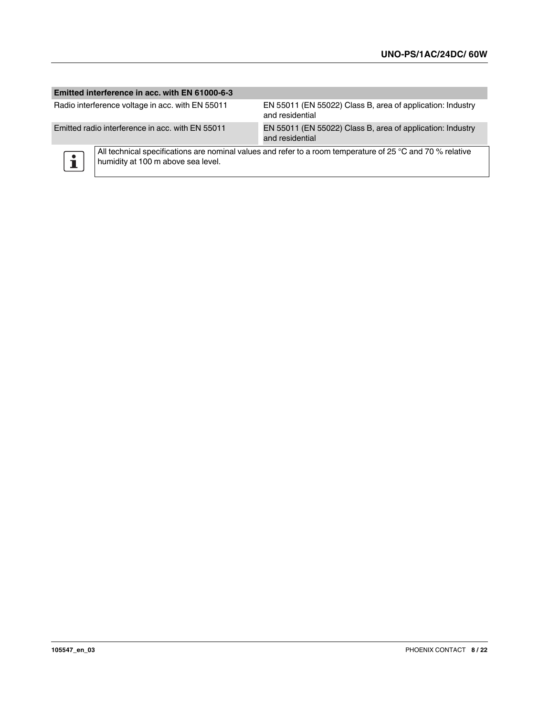#### **Emitted interference in acc. with EN 61000-6-3**

Radio interference voltage in acc. with EN 55011 EN 55011 (EN 55022) Class B, area of application: Industry and residential Emitted radio interference in acc. with EN 55011 EN 55011 (EN 55022) Class B, area of application: Industry and residential



All technical specifications are nominal values and refer to a room temperature of 25 °C and 70 % relative humidity at 100 m above sea level.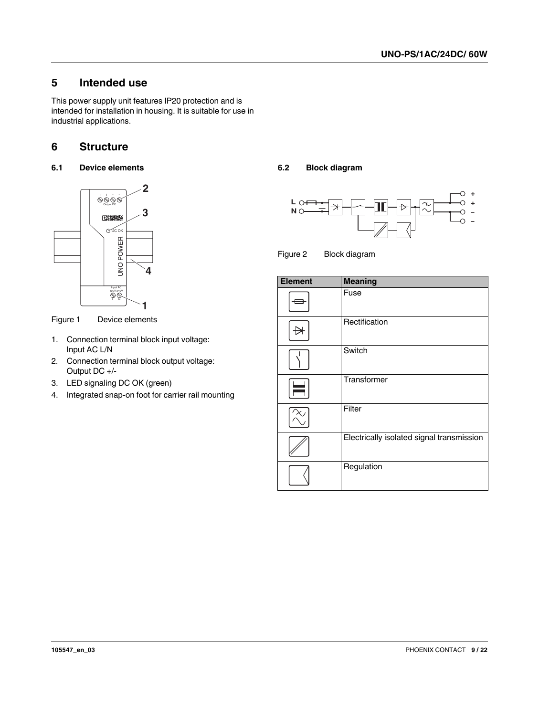## <span id="page-8-0"></span>**5 Intended use**

This power supply unit features IP20 protection and is intended for installation in housing. It is suitable for use in industrial applications.

## <span id="page-8-1"></span>**6 Structure**

<span id="page-8-2"></span>**6.1 Device elements**



Figure 1 Device elements

- 1. Connection terminal block input voltage: Input AC L/N
- 2. Connection terminal block output voltage: Output DC +/-
- 3. LED signaling DC OK (green)
- 4. Integrated snap-on foot for carrier rail mounting

#### <span id="page-8-3"></span>**6.2 Block diagram**



Figure 2 Block diagram

| <b>Element</b> | <b>Meaning</b>                            |
|----------------|-------------------------------------------|
|                | Fuse                                      |
|                | Rectification                             |
|                | Switch                                    |
|                | Transformer                               |
|                | Filter                                    |
|                | Electrically isolated signal transmission |
|                | Regulation                                |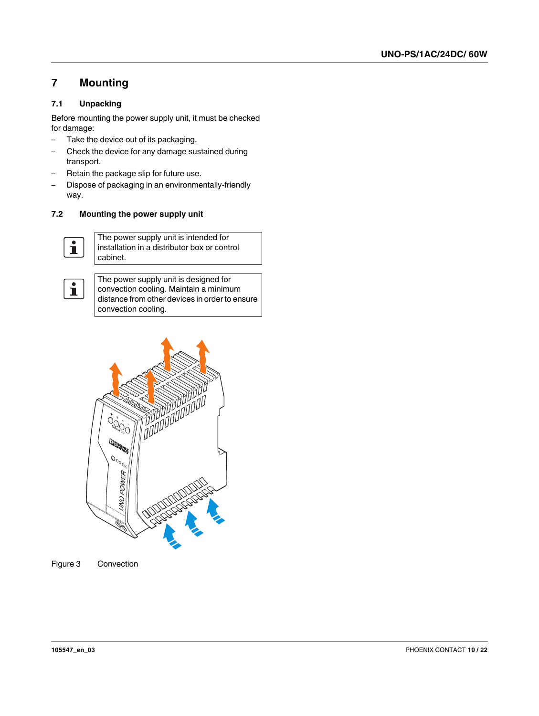## <span id="page-9-0"></span>**7 Mounting**

#### <span id="page-9-1"></span>**7.1 Unpacking**

Before mounting the power supply unit, it must be checked for damage:

- Take the device out of its packaging.
- Check the device for any damage sustained during transport.
- Retain the package slip for future use.
- Dispose of packaging in an environmentally-friendly way.

#### <span id="page-9-2"></span>**7.2 Mounting the power supply unit**



The power supply unit is intended for installation in a distributor box or control cabinet.



The power supply unit is designed for convection cooling. Maintain a minimum distance from other devices in order to ensure convection cooling.



Figure 3 Convection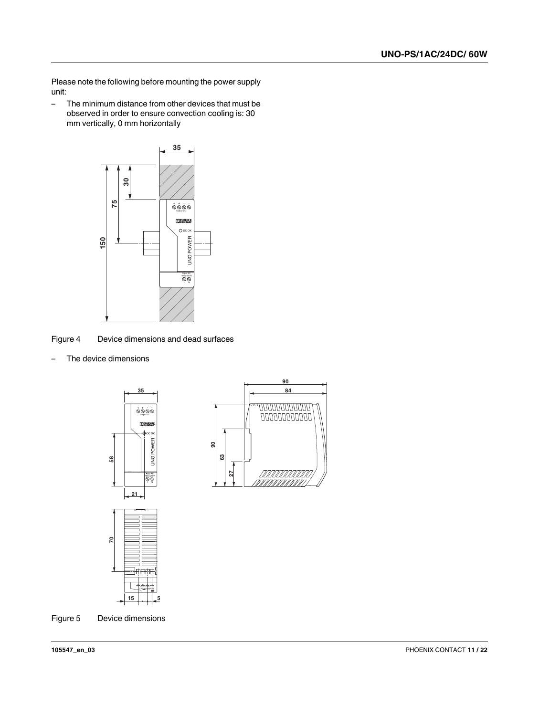Please note the following before mounting the power supply unit:

– The minimum distance from other devices that must be observed in order to ensure convection cooling is: 30 mm vertically, 0 mm horizontally



Figure 4 Device dimensions and dead surfaces

– The device dimensions





Figure 5 Device dimensions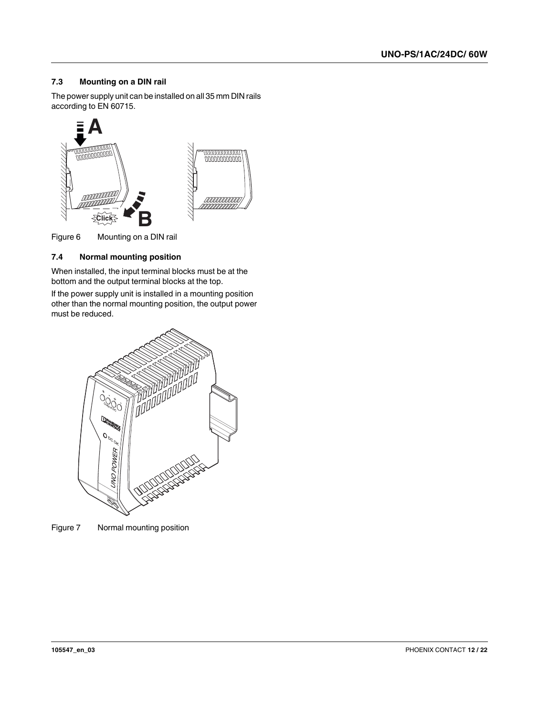#### <span id="page-11-0"></span>**7.3 Mounting on a DIN rail**

The power supply unit can be installed on all 35 mm DIN rails according to EN 60715.



Figure 6 Mounting on a DIN rail

#### <span id="page-11-1"></span>**7.4 Normal mounting position**

When installed, the input terminal blocks must be at the bottom and the output terminal blocks at the top.

If the power supply unit is installed in a mounting position other than the normal mounting position, the output power must be reduced.



Figure 7 Normal mounting position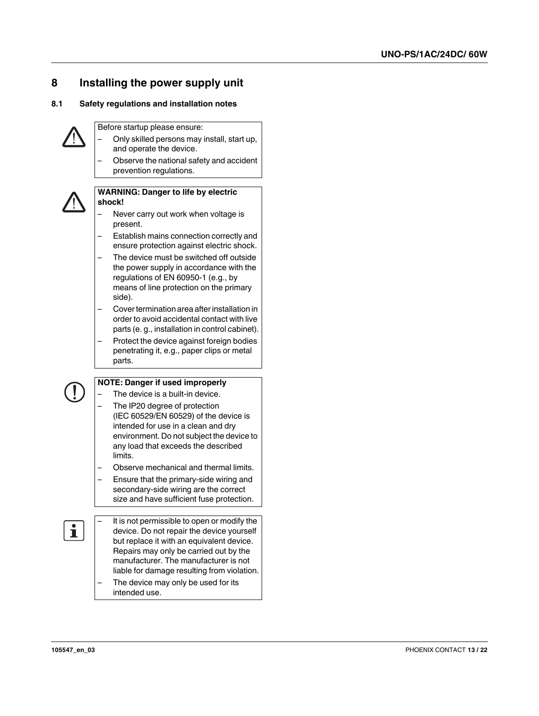## <span id="page-12-0"></span>**8 Installing the power supply unit**

#### <span id="page-12-1"></span>**8.1 Safety regulations and installation notes**



Before startup please ensure:

- Only skilled persons may install, start up, and operate the device.
- Observe the national safety and accident prevention regulations.



#### **WARNING: Danger to life by electric shock!**

- Never carry out work when voltage is present.
- Establish mains connection correctly and ensure protection against electric shock.
- The device must be switched off outside the power supply in accordance with the regulations of EN 60950-1 (e.g., by means of line protection on the primary side).
- Cover termination area after installation in order to avoid accidental contact with live parts (e. g., installation in control cabinet).
- Protect the device against foreign bodies penetrating it, e.g., paper clips or metal parts.



#### **NOTE: Danger if used improperly**

- The device is a built-in device.
- The IP20 degree of protection (IEC 60529/EN 60529) of the device is intended for use in a clean and dry environment. Do not subject the device to any load that exceeds the described limits.
- Observe mechanical and thermal limits.
- Ensure that the primary-side wiring and secondary-side wiring are the correct size and have sufficient fuse protection.
- It is not permissible to open or modify the device. Do not repair the device yourself but replace it with an equivalent device. Repairs may only be carried out by the manufacturer. The manufacturer is not liable for damage resulting from violation.
	- The device may only be used for its intended use.

 $\mathbf i$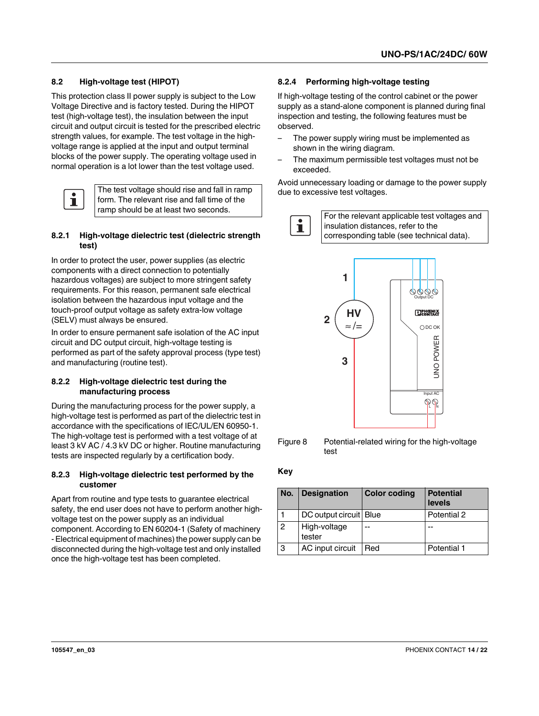#### <span id="page-13-0"></span>**8.2 High-voltage test (HIPOT)**

This protection class II power supply is subject to the Low Voltage Directive and is factory tested. During the HIPOT test (high-voltage test), the insulation between the input circuit and output circuit is tested for the prescribed electric strength values, for example. The test voltage in the highvoltage range is applied at the input and output terminal blocks of the power supply. The operating voltage used in normal operation is a lot lower than the test voltage used.



The test voltage should rise and fall in ramp form. The relevant rise and fall time of the

#### **8.2.1 High-voltage dielectric test (dielectric strength test)**

In order to protect the user, power supplies (as electric components with a direct connection to potentially hazardous voltages) are subject to more stringent safety requirements. For this reason, permanent safe electrical isolation between the hazardous input voltage and the touch-proof output voltage as safety extra-low voltage (SELV) must always be ensured.

In order to ensure permanent safe isolation of the AC input circuit and DC output circuit, high-voltage testing is performed as part of the safety approval process (type test) and manufacturing (routine test).

#### **8.2.2 High-voltage dielectric test during the manufacturing process**

During the manufacturing process for the power supply, a high-voltage test is performed as part of the dielectric test in accordance with the specifications of IEC/UL/EN 60950-1. The high-voltage test is performed with a test voltage of at least 3 kV AC / 4.3 kV DC or higher. Routine manufacturing tests are inspected regularly by a certification body.

#### **8.2.3 High-voltage dielectric test performed by the customer**

Apart from routine and type tests to guarantee electrical safety, the end user does not have to perform another highvoltage test on the power supply as an individual component. According to EN 60204-1 (Safety of machinery - Electrical equipment of machines) the power supply can be disconnected during the high-voltage test and only installed once the high-voltage test has been completed.

#### **8.2.4 Performing high-voltage testing**

If high-voltage testing of the control cabinet or the power supply as a stand-alone component is planned during final inspection and testing, the following features must be observed.

- The power supply wiring must be implemented as shown in the wiring diagram.
- The maximum permissible test voltages must not be exceeded.

Avoid unnecessary loading or damage to the power supply due to excessive test voltages.





Figure 8 Potential-related wiring for the high-voltage test

#### **Key**

| No. | <b>Designation</b>     | <b>Color coding</b> | <b>Potential</b><br>levels |
|-----|------------------------|---------------------|----------------------------|
|     | DC output circuit Blue |                     | Potential 2                |
| 2   | High-voltage<br>tester | --                  |                            |
| 3   | AC input circuit       | Red                 | Potential 1                |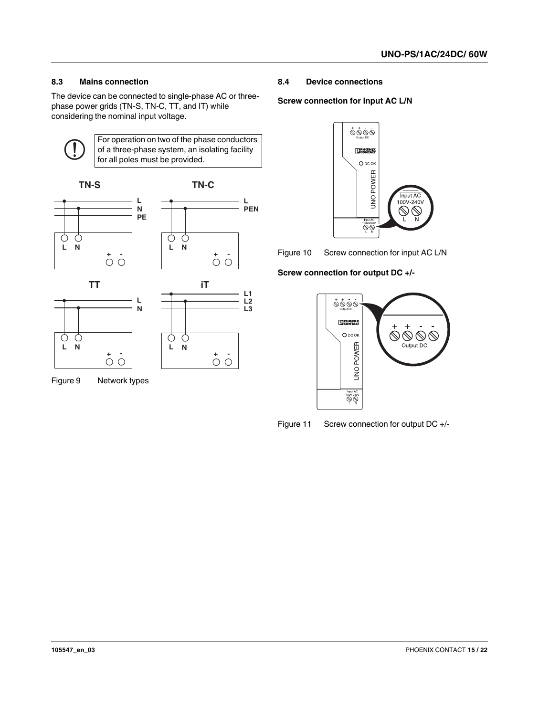#### <span id="page-14-0"></span>**8.3 Mains connection**

The device can be connected to single-phase AC or threephase power grids (TN-S, TN-C, TT, and IT) while considering the nominal input voltage.



For operation on two of the phase conductors of a three-phase system, an isolating facility for all poles must be provided.



Figure 9 Network types

#### <span id="page-14-1"></span>**8.4 Device connections**

#### **Screw connection for input AC L/N**



Figure 10 Screw connection for input AC L/N

#### **Screw connection for output DC +/-**



Figure 11 Screw connection for output DC +/-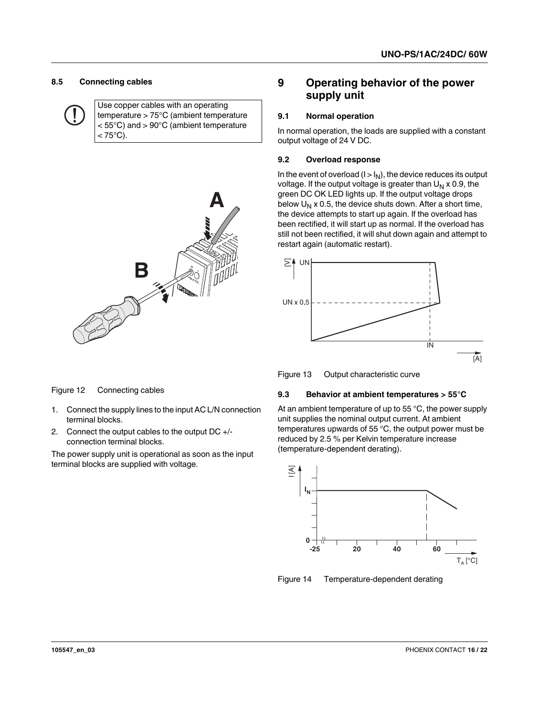#### <span id="page-15-0"></span>**8.5 Connecting cables**

Use copper cables with an operating temperature > 75°C (ambient temperature < 55°C) and > 90°C (ambient temperature  $< 75^{\circ}$ C).



### <span id="page-15-1"></span>**9 Operating behavior of the power supply unit**

#### <span id="page-15-2"></span>**9.1 Normal operation**

In normal operation, the loads are supplied with a constant output voltage of 24 V DC.

#### <span id="page-15-3"></span>**9.2 Overload response**

In the event of overload  $(I > I_N)$ , the device reduces its output voltage. If the output voltage is greater than  $U_N \times 0.9$ , the green DC OK LED lights up. If the output voltage drops below  $U_N$  x 0.5, the device shuts down. After a short time, the device attempts to start up again. If the overload has been rectified, it will start up as normal. If the overload has still not been rectified, it will shut down again and attempt to restart again (automatic restart).



Figure 13 Output characteristic curve

#### <span id="page-15-4"></span>**9.3 Behavior at ambient temperatures > 55°C**

At an ambient temperature of up to 55 °C, the power supply unit supplies the nominal output current. At ambient temperatures upwards of 55 °C, the output power must be reduced by 2.5 % per Kelvin temperature increase (temperature-dependent derating).



Figure 14 Temperature-dependent derating

Figure 12 Connecting cables

- 1. Connect the supply lines to the input AC L/N connection terminal blocks.
- 2. Connect the output cables to the output DC +/ connection terminal blocks.

The power supply unit is operational as soon as the input terminal blocks are supplied with voltage.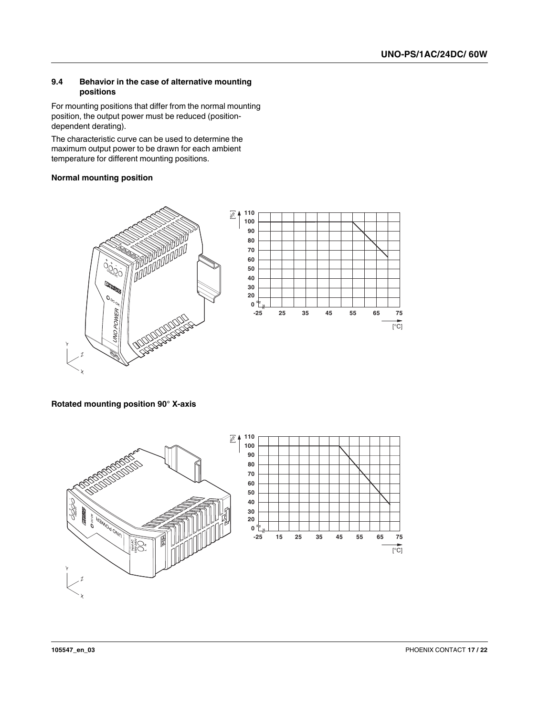#### <span id="page-16-0"></span>**9.4 Behavior in the case of alternative mounting positions**

For mounting positions that differ from the normal mounting position, the output power must be reduced (positiondependent derating).

The characteristic curve can be used to determine the maximum output power to be drawn for each ambient temperature for different mounting positions.

#### **Normal mounting position**



**Rotated mounting position 90° X-axis**



 $\overline{[°C]}$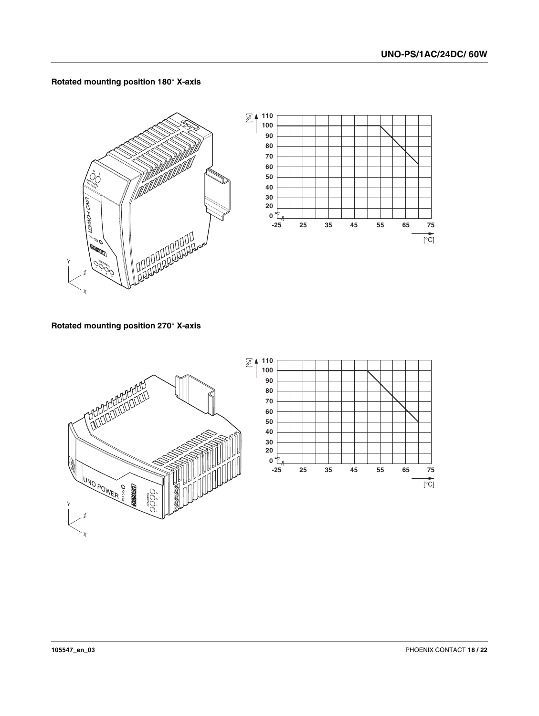





**Rotated mounting position 270° X-axis**



**Rotated mounting position 180° X-axis**

 $\overline{[°C]}$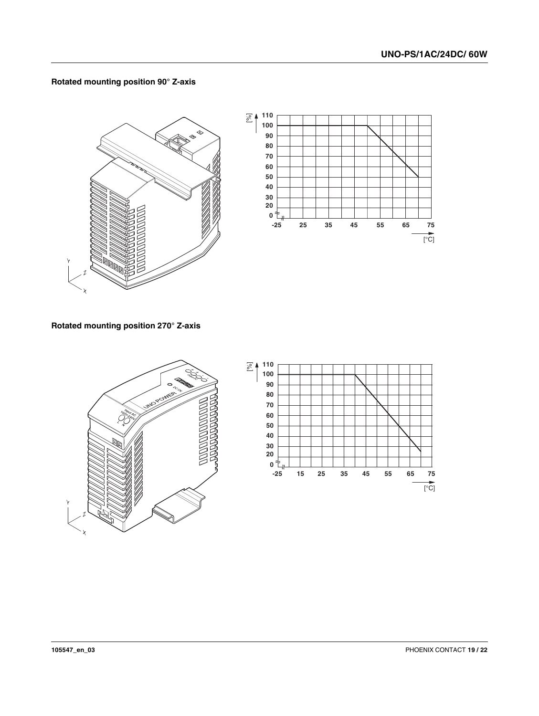#### **Rotated mounting position 90° Z-axis**



#### **Rotated mounting position 270° Z-axis**

X



X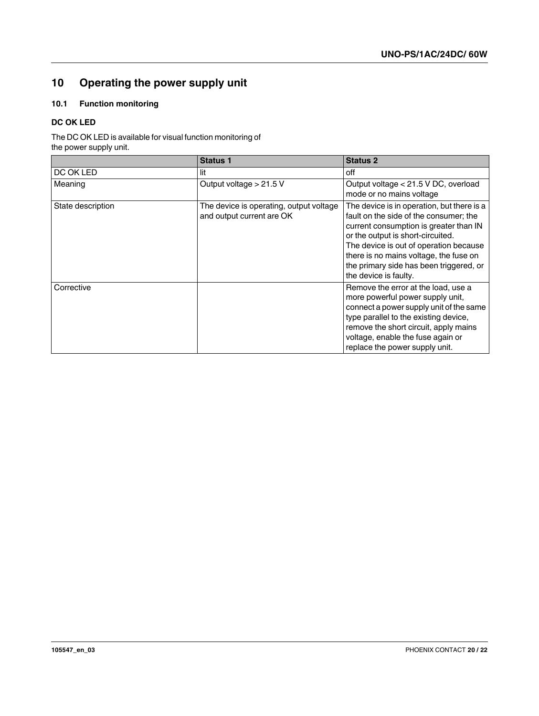## <span id="page-19-0"></span>**10 Operating the power supply unit**

#### <span id="page-19-1"></span>**10.1 Function monitoring**

#### **DC OK LED**

The DC OK LED is available for visual function monitoring of the power supply unit.

|                   | <b>Status 1</b>                                                      | <b>Status 2</b>                                                                                                                                                                                                                                                                                                             |
|-------------------|----------------------------------------------------------------------|-----------------------------------------------------------------------------------------------------------------------------------------------------------------------------------------------------------------------------------------------------------------------------------------------------------------------------|
| DC OK LED         | lit                                                                  | off                                                                                                                                                                                                                                                                                                                         |
| Meaning           | Output voltage $> 21.5$ V                                            | Output voltage < 21.5 V DC, overload<br>mode or no mains voltage                                                                                                                                                                                                                                                            |
| State description | The device is operating, output voltage<br>and output current are OK | The device is in operation, but there is a<br>fault on the side of the consumer; the<br>current consumption is greater than IN<br>or the output is short-circuited.<br>The device is out of operation because<br>there is no mains voltage, the fuse on<br>the primary side has been triggered, or<br>the device is faulty. |
| Corrective        |                                                                      | Remove the error at the load, use a<br>more powerful power supply unit,<br>connect a power supply unit of the same<br>type parallel to the existing device,<br>remove the short circuit, apply mains<br>voltage, enable the fuse again or<br>replace the power supply unit.                                                 |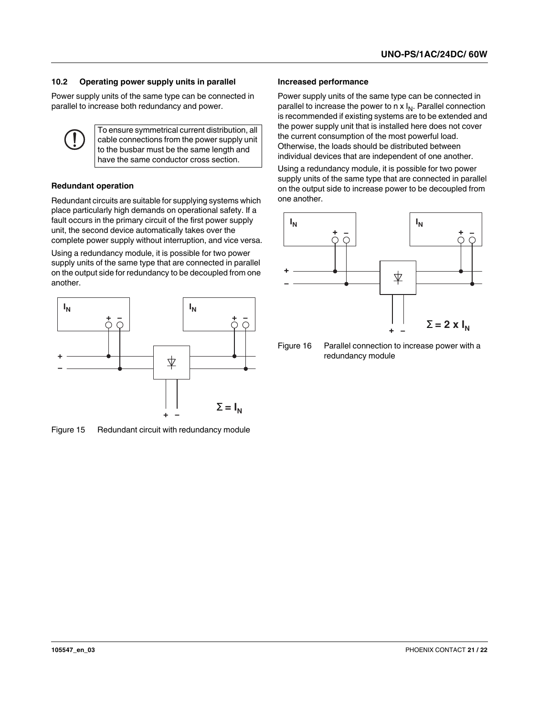#### <span id="page-20-0"></span>**10.2 Operating power supply units in parallel**

Power supply units of the same type can be connected in parallel to increase both redundancy and power.

> To ensure symmetrical current distribution, all cable connections from the power supply unit to the busbar must be the same length and have the same conductor cross section.

#### **Redundant operation**

Redundant circuits are suitable for supplying systems which place particularly high demands on operational safety. If a fault occurs in the primary circuit of the first power supply unit, the second device automatically takes over the complete power supply without interruption, and vice versa.

Using a redundancy module, it is possible for two power supply units of the same type that are connected in parallel on the output side for redundancy to be decoupled from one another.



Figure 15 Redundant circuit with redundancy module

#### **Increased performance**

Power supply units of the same type can be connected in parallel to increase the power to  $n \times I_N$ . Parallel connection is recommended if existing systems are to be extended and the power supply unit that is installed here does not cover the current consumption of the most powerful load. Otherwise, the loads should be distributed between individual devices that are independent of one another.

Using a redundancy module, it is possible for two power supply units of the same type that are connected in parallel on the output side to increase power to be decoupled from one another.



Figure 16 Parallel connection to increase power with a redundancy module